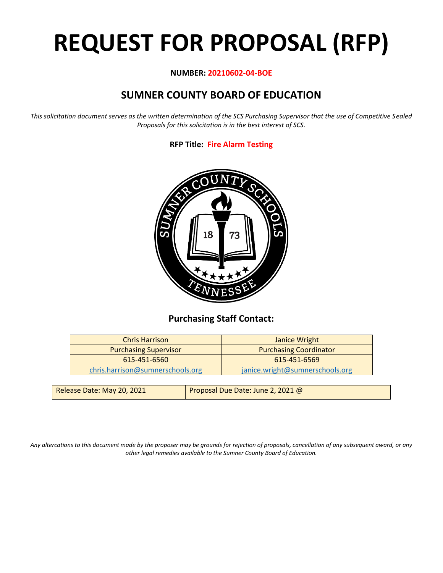# **REQUEST FOR PROPOSAL (RFP)**

#### **NUMBER: 20210602-04-BOE**

# **SUMNER COUNTY BOARD OF EDUCATION**

*This solicitation document serves as the written determination of the SCS Purchasing Supervisor that the use of Competitive Sealed Proposals for this solicitation is in the best interest of SCS.*

#### **RFP Title: Fire Alarm Testing**



## **Purchasing Staff Contact:**

| <b>Chris Harrison</b>            | Janice Wright                   |
|----------------------------------|---------------------------------|
| <b>Purchasing Supervisor</b>     | <b>Purchasing Coordinator</b>   |
| 615-451-6560                     | 615-451-6569                    |
| chris.harrison@sumnerschools.org | janice.wright@sumnerschools.org |
|                                  |                                 |

| Release Date: May 20, 2021 | Proposal Due Date: June 2, 2021 $@$ |
|----------------------------|-------------------------------------|
|----------------------------|-------------------------------------|

*Any altercations to this document made by the proposer may be grounds for rejection of proposals, cancellation of any subsequent award, or any other legal remedies available to the Sumner County Board of Education.*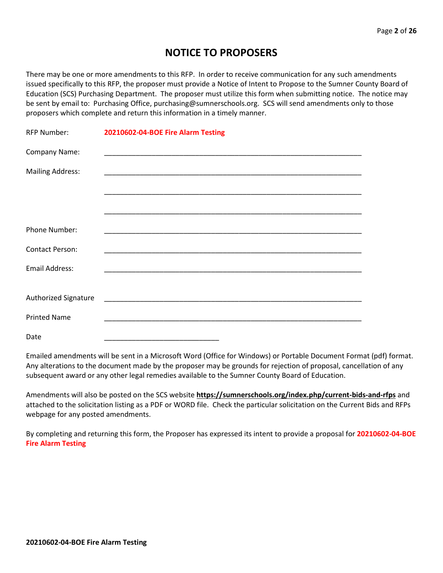## **NOTICE TO PROPOSERS**

There may be one or more amendments to this RFP. In order to receive communication for any such amendments issued specifically to this RFP, the proposer must provide a Notice of Intent to Propose to the Sumner County Board of Education (SCS) Purchasing Department. The proposer must utilize this form when submitting notice. The notice may be sent by email to: Purchasing Office, purchasing@sumnerschools.org. SCS will send amendments only to those proposers which complete and return this information in a timely manner.

| <b>RFP Number:</b>      | 20210602-04-BOE Fire Alarm Testing |
|-------------------------|------------------------------------|
| Company Name:           |                                    |
| <b>Mailing Address:</b> |                                    |
|                         |                                    |
|                         |                                    |
| Phone Number:           |                                    |
| <b>Contact Person:</b>  |                                    |
| Email Address:          |                                    |
|                         |                                    |
| Authorized Signature    |                                    |
| <b>Printed Name</b>     |                                    |
| Date                    |                                    |

Emailed amendments will be sent in a Microsoft Word (Office for Windows) or Portable Document Format (pdf) format. Any alterations to the document made by the proposer may be grounds for rejection of proposal, cancellation of any subsequent award or any other legal remedies available to the Sumner County Board of Education.

Amendments will also be posted on the SCS website **https://sumnerschools.org/index.php/current-bids-and-rfps** and attached to the solicitation listing as a PDF or WORD file. Check the particular solicitation on the Current Bids and RFPs webpage for any posted amendments.

By completing and returning this form, the Proposer has expressed its intent to provide a proposal for **20210602-04-BOE Fire Alarm Testing**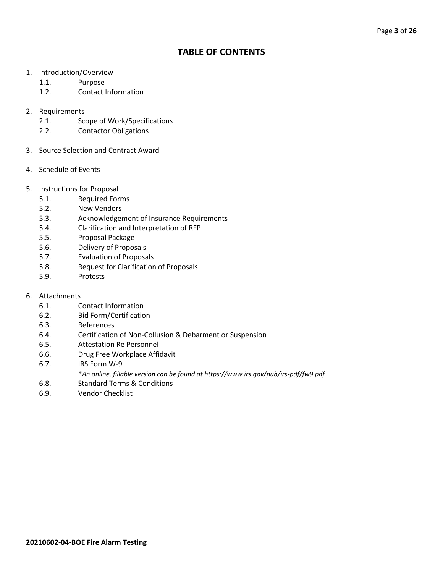## **TABLE OF CONTENTS**

- 1. Introduction/Overview
	- 1.1. Purpose
	- 1.2. Contact Information
- 2. Requirements
	- 2.1. Scope of Work/Specifications
	- 2.2. Contactor Obligations
- 3. Source Selection and Contract Award
- 4. Schedule of Events
- 5. Instructions for Proposal
	- 5.1. Required Forms
	- 5.2. New Vendors
	- 5.3. Acknowledgement of Insurance Requirements
	- 5.4. Clarification and Interpretation of RFP
	- 5.5. Proposal Package
	- 5.6. Delivery of Proposals
	- 5.7. Evaluation of Proposals
	- 5.8. Request for Clarification of Proposals
	- 5.9. Protests
- 6. Attachments
	- 6.1. Contact Information
	- 6.2. Bid Form/Certification
	- 6.3. References
	- 6.4. Certification of Non-Collusion & Debarment or Suspension
	- 6.5. Attestation Re Personnel
	- 6.6. Drug Free Workplace Affidavit
	- 6.7. IRS Form W-9
		- \**An online, fillable version can be found at https://www.irs.gov/pub/irs-pdf/fw9.pdf*
	- 6.8. Standard Terms & Conditions
	- 6.9. Vendor Checklist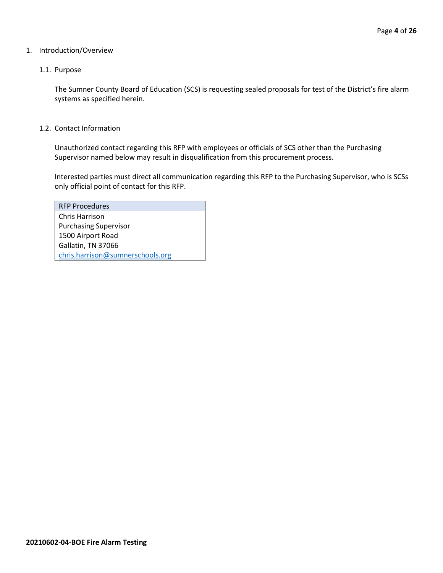#### 1. Introduction/Overview

#### 1.1. Purpose

The Sumner County Board of Education (SCS) is requesting sealed proposals for test of the District's fire alarm systems as specified herein.

1.2. Contact Information

Unauthorized contact regarding this RFP with employees or officials of SCS other than the Purchasing Supervisor named below may result in disqualification from this procurement process.

Interested parties must direct all communication regarding this RFP to the Purchasing Supervisor, who is SCSs only official point of contact for this RFP.

| <b>RFP Procedures</b>            |
|----------------------------------|
| Chris Harrison                   |
| <b>Purchasing Supervisor</b>     |
| 1500 Airport Road                |
| Gallatin, TN 37066               |
| chris.harrison@sumnerschools.org |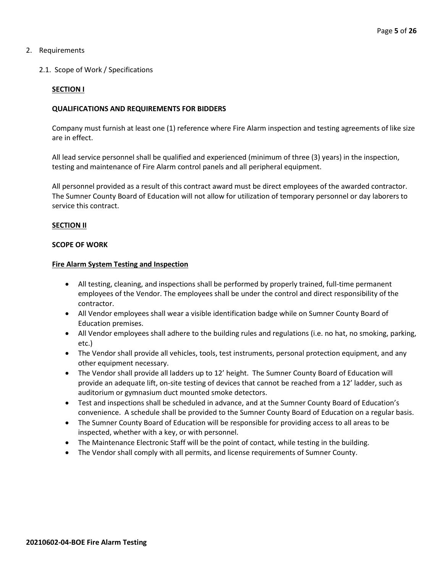#### 2. Requirements

#### 2.1. Scope of Work / Specifications

#### **SECTION I**

#### **QUALIFICATIONS AND REQUIREMENTS FOR BIDDERS**

Company must furnish at least one (1) reference where Fire Alarm inspection and testing agreements of like size are in effect.

All lead service personnel shall be qualified and experienced (minimum of three (3) years) in the inspection, testing and maintenance of Fire Alarm control panels and all peripheral equipment.

All personnel provided as a result of this contract award must be direct employees of the awarded contractor. The Sumner County Board of Education will not allow for utilization of temporary personnel or day laborers to service this contract.

#### **SECTION II**

#### **SCOPE OF WORK**

#### **Fire Alarm System Testing and Inspection**

- All testing, cleaning, and inspections shall be performed by properly trained, full-time permanent employees of the Vendor. The employees shall be under the control and direct responsibility of the contractor.
- All Vendor employees shall wear a visible identification badge while on Sumner County Board of Education premises.
- All Vendor employees shall adhere to the building rules and regulations (i.e. no hat, no smoking, parking, etc.)
- The Vendor shall provide all vehicles, tools, test instruments, personal protection equipment, and any other equipment necessary.
- The Vendor shall provide all ladders up to 12' height. The Sumner County Board of Education will provide an adequate lift, on-site testing of devices that cannot be reached from a 12' ladder, such as auditorium or gymnasium duct mounted smoke detectors.
- Test and inspections shall be scheduled in advance, and at the Sumner County Board of Education's convenience. A schedule shall be provided to the Sumner County Board of Education on a regular basis.
- The Sumner County Board of Education will be responsible for providing access to all areas to be inspected, whether with a key, or with personnel.
- The Maintenance Electronic Staff will be the point of contact, while testing in the building.
- The Vendor shall comply with all permits, and license requirements of Sumner County.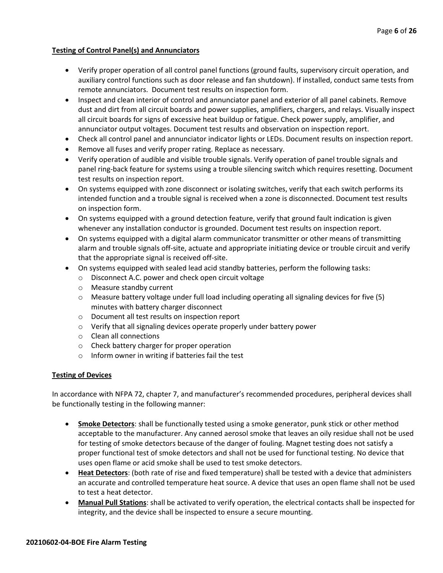#### **Testing of Control Panel(s) and Annunciators**

- Verify proper operation of all control panel functions (ground faults, supervisory circuit operation, and auxiliary control functions such as door release and fan shutdown). If installed, conduct same tests from remote annunciators. Document test results on inspection form.
- Inspect and clean interior of control and annunciator panel and exterior of all panel cabinets. Remove dust and dirt from all circuit boards and power supplies, amplifiers, chargers, and relays. Visually inspect all circuit boards for signs of excessive heat buildup or fatigue. Check power supply, amplifier, and annunciator output voltages. Document test results and observation on inspection report.
- Check all control panel and annunciator indicator lights or LEDs. Document results on inspection report.
- Remove all fuses and verify proper rating. Replace as necessary.
- Verify operation of audible and visible trouble signals. Verify operation of panel trouble signals and panel ring-back feature for systems using a trouble silencing switch which requires resetting. Document test results on inspection report.
- On systems equipped with zone disconnect or isolating switches, verify that each switch performs its intended function and a trouble signal is received when a zone is disconnected. Document test results on inspection form.
- On systems equipped with a ground detection feature, verify that ground fault indication is given whenever any installation conductor is grounded. Document test results on inspection report.
- On systems equipped with a digital alarm communicator transmitter or other means of transmitting alarm and trouble signals off-site, actuate and appropriate initiating device or trouble circuit and verify that the appropriate signal is received off-site.
- On systems equipped with sealed lead acid standby batteries, perform the following tasks:
	- o Disconnect A.C. power and check open circuit voltage
	- o Measure standby current
	- $\circ$  Measure battery voltage under full load including operating all signaling devices for five (5) minutes with battery charger disconnect
	- o Document all test results on inspection report
	- o Verify that all signaling devices operate properly under battery power
	- o Clean all connections
	- o Check battery charger for proper operation
	- o Inform owner in writing if batteries fail the test

#### **Testing of Devices**

In accordance with NFPA 72, chapter 7, and manufacturer's recommended procedures, peripheral devices shall be functionally testing in the following manner:

- **Smoke Detectors**: shall be functionally tested using a smoke generator, punk stick or other method acceptable to the manufacturer. Any canned aerosol smoke that leaves an oily residue shall not be used for testing of smoke detectors because of the danger of fouling. Magnet testing does not satisfy a proper functional test of smoke detectors and shall not be used for functional testing. No device that uses open flame or acid smoke shall be used to test smoke detectors.
- **Heat Detectors**: (both rate of rise and fixed temperature) shall be tested with a device that administers an accurate and controlled temperature heat source. A device that uses an open flame shall not be used to test a heat detector.
- **Manual Pull Stations**: shall be activated to verify operation, the electrical contacts shall be inspected for integrity, and the device shall be inspected to ensure a secure mounting.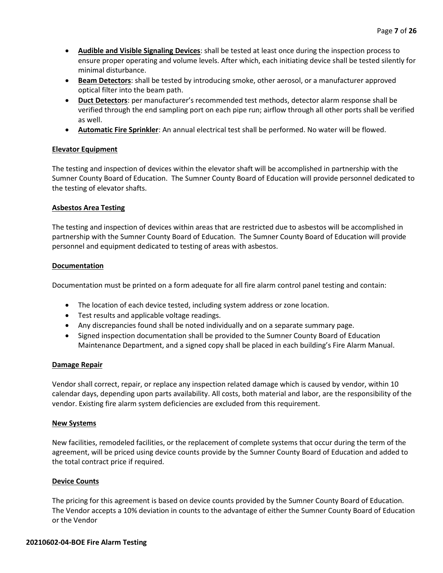- **Audible and Visible Signaling Devices**: shall be tested at least once during the inspection process to ensure proper operating and volume levels. After which, each initiating device shall be tested silently for minimal disturbance.
- **Beam Detectors**: shall be tested by introducing smoke, other aerosol, or a manufacturer approved optical filter into the beam path.
- **Duct Detectors**: per manufacturer's recommended test methods, detector alarm response shall be verified through the end sampling port on each pipe run; airflow through all other ports shall be verified as well.
- **Automatic Fire Sprinkler**: An annual electrical test shall be performed. No water will be flowed.

#### **Elevator Equipment**

The testing and inspection of devices within the elevator shaft will be accomplished in partnership with the Sumner County Board of Education. The Sumner County Board of Education will provide personnel dedicated to the testing of elevator shafts.

#### **Asbestos Area Testing**

The testing and inspection of devices within areas that are restricted due to asbestos will be accomplished in partnership with the Sumner County Board of Education. The Sumner County Board of Education will provide personnel and equipment dedicated to testing of areas with asbestos.

#### **Documentation**

Documentation must be printed on a form adequate for all fire alarm control panel testing and contain:

- The location of each device tested, including system address or zone location.
- Test results and applicable voltage readings.
- Any discrepancies found shall be noted individually and on a separate summary page.
- Signed inspection documentation shall be provided to the Sumner County Board of Education Maintenance Department, and a signed copy shall be placed in each building's Fire Alarm Manual.

#### **Damage Repair**

Vendor shall correct, repair, or replace any inspection related damage which is caused by vendor, within 10 calendar days, depending upon parts availability. All costs, both material and labor, are the responsibility of the vendor. Existing fire alarm system deficiencies are excluded from this requirement.

#### **New Systems**

New facilities, remodeled facilities, or the replacement of complete systems that occur during the term of the agreement, will be priced using device counts provide by the Sumner County Board of Education and added to the total contract price if required.

#### **Device Counts**

The pricing for this agreement is based on device counts provided by the Sumner County Board of Education. The Vendor accepts a 10% deviation in counts to the advantage of either the Sumner County Board of Education or the Vendor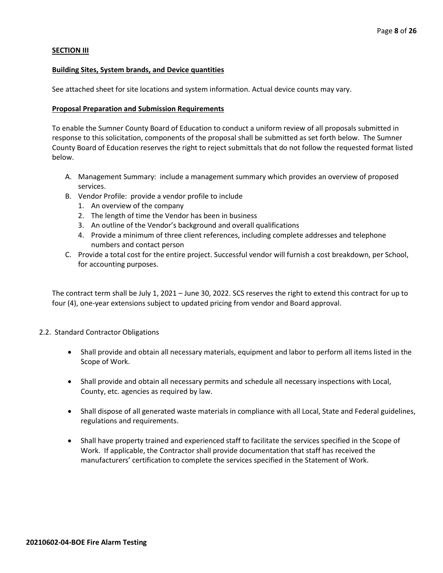#### **SECTION III**

#### **Building Sites, System brands, and Device quantities**

See attached sheet for site locations and system information. Actual device counts may vary.

#### **Proposal Preparation and Submission Requirements**

To enable the Sumner County Board of Education to conduct a uniform review of all proposals submitted in response to this solicitation, components of the proposal shall be submitted as set forth below. The Sumner County Board of Education reserves the right to reject submittals that do not follow the requested format listed below.

- A. Management Summary: include a management summary which provides an overview of proposed services.
- B. Vendor Profile: provide a vendor profile to include
	- 1. An overview of the company
	- 2. The length of time the Vendor has been in business
	- 3. An outline of the Vendor's background and overall qualifications
	- 4. Provide a minimum of three client references, including complete addresses and telephone numbers and contact person
- C. Provide a total cost for the entire project. Successful vendor will furnish a cost breakdown, per School, for accounting purposes.

The contract term shall be July 1, 2021 – June 30, 2022. SCS reserves the right to extend this contract for up to four (4), one-year extensions subject to updated pricing from vendor and Board approval.

#### 2.2. Standard Contractor Obligations

- Shall provide and obtain all necessary materials, equipment and labor to perform all items listed in the Scope of Work.
- Shall provide and obtain all necessary permits and schedule all necessary inspections with Local, County, etc. agencies as required by law.
- Shall dispose of all generated waste materials in compliance with all Local, State and Federal guidelines, regulations and requirements.
- Shall have property trained and experienced staff to facilitate the services specified in the Scope of Work. If applicable, the Contractor shall provide documentation that staff has received the manufacturers' certification to complete the services specified in the Statement of Work.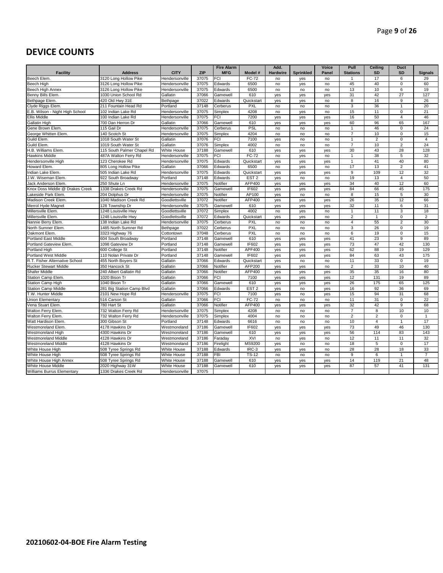## **DEVICE COUNTS**

|                                 |                            |                |            | <b>Fire Alarm</b> |                  | Add.            |                  | Voice | Pull            | Ceiling        | <b>Duct</b>    |                |
|---------------------------------|----------------------------|----------------|------------|-------------------|------------------|-----------------|------------------|-------|-----------------|----------------|----------------|----------------|
| <b>Facility</b>                 | <b>Address</b>             | <b>CITY</b>    | <b>ZIP</b> | <b>MFG</b>        | Model #          | <b>Hardwire</b> | <b>Sprinkled</b> | Panel | <b>Stations</b> | SD             | SD             | <b>Signals</b> |
| Beech Elem.                     | 3120 Long Hollow Pike      | Hendersonville | 37075      | FCI               | FC-72            | no              | yes              | no    | $\mathbf{1}$    | 17             | 6              | 29             |
| <b>Beech High</b>               | 3126 Long Hollow Pike      | Hendersonville | 37075      | Edwards           | 6500             | no              | yes              | no    | 45              | 40             | 0              | 60             |
| Beech High Annex                | 3126 Long Hollow Pike      | Hendersonville | 37075      | Edwards           | 6500             | no              | no               | no    | 13              | 10             | 6              | 19             |
| Benny Bills Elem.               | 1030 Union School Rd       | Gallatin       | 37066      | Gamewell          | 610              | yes             | yes              | yes   | 31              | 42             | 27             | 127            |
| Bethpage Elem.                  | 420 Old Hwy 31E            | Bethpage       | 37022      | Edwards           | Quickstart       | yes             | yes              | no    | 8               | 16             | 9              | 26             |
| Clyde Riggs Elem.               | 211 Fountain Head Rd       | Portland       | 37148      | Cerberus          | <b>PXL</b>       | no              | no               | no    | 3               | 36             | $\mathbf{1}$   | 20             |
| E.B. Wilson - Night High School | 102 Indian Lake Rd         | Hendersonville | 37075      | Simplex           | 4208             | no              | yes              | no    | 15              | 11             | $\overline{0}$ | 21             |
| Ellis Middle                    | 100 Indian Lake Rd         | Hendersonville | 37075      | FCI               | 7200             | yes             | yes              | yes   | 16              | 50             | $\overline{4}$ | 46             |
| Gallatin High                   | 700 Dan Herron Dr          | Gallatin       | 37066      | Gamewell          | 610              | yes             | yes              | yes   | 60              | 96             | 65             | 167            |
| Gene Brown Elem.                | 115 Gail Dr                | Hendersonville | 37075      | Cerberus          | <b>PSL</b>       | no              | no               | no    | $\overline{1}$  | 46             | $\mathbf 0$    | 24             |
| George Whitten Elem.            | 140 Scotch St              | Hendersonville | 37075      | Simplex           | 4204             | no              | no               | no    | $\overline{7}$  | 10             | $\mathsf 0$    | 15             |
| Guild Elem.                     | 1018 South Water St        | Gallatin       | 37076      | FCI               | 7100             | yes             | no               | no    | $\overline{1}$  | $\overline{2}$ | $\mathbf{0}$   | $\overline{4}$ |
| Guild Elem                      | 1019 South Water St        | Gallatin       | 37076      | Simplex           | 4002             | no              | no               | no    | $\overline{7}$  | 10             | $\overline{2}$ | 24             |
| H.B. Williams Elem.             | 115 South Palmer Chapel Rd | White House    | 37188      | Gamewell          | 610              | yes             | yes              | yes   | 30              | 43             | 28             | 128            |
| <b>Hawkins Middle</b>           | 487A Walton Ferry Rd       | Hendersonville | 37075      | FCI               | <b>FC-72</b>     | no              | yes              | no    | 1               | 38             | 5              | 32             |
| Hendersonville High             | 123 Cherokee Rd            | Hendersonville | 37075      | Edwards           | Quickstart       | yes             | yes              | yes   | $\overline{1}$  | 41             | 40             | 80             |
| Howard Elem.                    | 805 Long Hollow Pike       | Gallatin       | 37066      | Edwards           | 6500             | no              | yes              | no    | 17              | 13             | $\overline{2}$ | 41             |
| Indian Lake Elem.               | 505 Indian Lake Rd         | Hendersonville | 37075      | Edwards           | Quickstart       | yes             | yes              | yes   | 9               | 109            | 12             | 32             |
| J.W. Wiseman Elem.              | 922 South Broadway         | Portland       | 37148      | Edwards           | EST <sub>2</sub> | yes             | no               | no    | 19              | 13             | $\overline{4}$ | 50             |
| Jack Anderson Elem              | 250 Shute Ln               | Hendersonville | 37075      | Notifier          | AFP400           | yes             | yes              | yes   | 34              | 40             | 12             | 60             |
| Knox Doss Middle @ Drakes Creek | 1338 Drakes Creek Rd       | Hendersonville | 37075      | Gamewell          | IF602            | yes             | yes              | yes   | 84              | 66             | 45             | 175            |
| akeside Park Elem               | 204 Dolphus Dr             | Hendersonville | 37075      | Notifier          | AP100            | yes             | no               | no    | $\overline{8}$  | 15             | 5              | 30             |
| Madison Creek Elem.             | 1040 Madison Creek Rd      | Goodlettsville | 37072      | Notifier          | <b>AFP400</b>    | yes             | yes              | yes   | 26              | 35             | 12             | 66             |
| Merrol Hyde Magnet              | 128 Township Dr            | Hendersonville | 37075      | Gamewell          | 610              | yes             | yes              | yes   | 32              | 11             | 6              | 31             |
| Millersville Elem.              | 1248 Louisville Hwy        | Goodlettsville | 37072      | Simplex           | 4002             | no              | yes              | no    | $\overline{1}$  | 11             | 3              | 18             |
| Millersville Elem.              | 1248 Louisville Hwy        | Goodlettsville | 37072      | Edwards           | Quickstart       | yes             | yes              | no    | 2               | $\overline{1}$ | $\mathbf{0}$   | $\overline{2}$ |
| Nannie Berry Elem.              | 138 Indian Lake Rd         | Hendersonville | 37075      | Cerberus          | PXL              | no              | no               | no    | $\overline{4}$  | 55             | $\overline{2}$ | 30             |
| North Sumner Elem.              | 1485 North Sumner Rd       | Bethpage       | 37022      | Cerberus          | PXL              | no              | no               | no    | 3               | 26             | $\mathbf 0$    | 19             |
| Oakmont Elem.                   | 3323 Highway 76            | Cottontown     | 37048      | Cerberus          | <b>PXL</b>       | no              | no               | no    | $6\overline{6}$ | 19             | $\overline{0}$ | 15             |
| Portland East Middle            | 604 South Broadway         | Portland       | 37148      | Gamewell          | 610              | yes             | yes              | yes   | 41              | 23             | 9              | 89             |
| Portland Gateview Elem.         | 1098 Gateview Dr           | Portland       | 37148      | Gamewell          | <b>IF602</b>     | yes             | yes              | yes   | $\overline{73}$ | 47             | 42             | 130            |
| Portland High                   | 600 College St             | Portland       | 37148      | Notifier          | APF400           | yes             | yes              | yes   | 62              | 88             | 19             | 129            |
| <b>Portland West Middle</b>     | 110 Nolan Private Dr       | Portland       | 37148      | Gamewell          | IF602            | yes             | yes              | yes   | 84              | 63             | 43             | 175            |
| R.T. Fisher Alternative School  | 455 North Boyers St        | Gallatin       | 37066      | Edwards           | Quickstart       | yes             | no               | no    | 11              | 33             | $\mathbf{0}$   | 19             |
| <b>Rucker Stewart Middle</b>    | 350 Hancock St             | Gallatin       | 37066      | Notifier          | AFP200           | yes             | yes              | no    | $\overline{2}$  | 33             | 10             | 40             |
| Shafer Middle                   | 240 Albert Gallatin Rd     | Gallatin       | 37066      | Notifier          | <b>AFP400</b>    | yes             | yes              | yes   | 35              | 35             | 16             | 80             |
| Station Camp Elem.              | 1020 Bison Tr              | Gallatin       | 37066      | FCI               | 7100             | yes             | yes              | yes   | 12              | 131            | 19             | 89             |
| Station Camp High               | 1040 Bison Tr              | Gallatin       | 37066      | Gamewell          | 610              | yes             | yes              | yes   | 26              | 175            | 65             | 125            |
| <b>Station Camp Middle</b>      | 281 Big Station Camp Blvd  | Gallatin       | 37066      | Edwards           | EST <sub>2</sub> | yes             | no               | yes   | 16              | 92             | 36             | 69             |
| T.W. Hunter Middle              | 2101 New Hope Rd           | Hendersonville | 37075      | <b>FCI</b>        | 7100             | yes             | no               | yes   | 15              | 94             | 31             | 68             |
| <b>Union Elementary</b>         | 516 Carson St              | Gallatin       | 37066      | <b>FCI</b>        | <b>FC-72</b>     | no              | no               | no    | 11              | 31             | $\mathsf 0$    | 22             |
| /ena Stuart Elem                | 780 Hart St                | Gallatin       | 37066      | Notifier          | AFP400           | yes             | yes              | yes   | 32              | 42             | 9              | 68             |
| Walton Ferry Elem               | 732 Walton Ferry Rd        | Hendersonville | 37075      | Simplex           | 4208             | no              | no               | no    | $\overline{7}$  | 8              | 10             | 10             |
| Walton Ferry Elem               | 732 Walton Ferry Rd        | Hendersonville | 37075      | Simplex           | 4004             | no              | no               | no    | $\overline{2}$  | $\overline{c}$ | $\mathbf 0$    | $\overline{1}$ |
| Watt Hardison Elem              | 300 Gibson St              | Portland       | 37148      | Edwards           | 6616             | no              | no               | no    | 10              | $\overline{4}$ | $\overline{1}$ | 17             |
| Westmoreland Elem.              | 4178 Hawkins Dr            | Westmoreland   | 37186      | Gamewell          | IF602            | yes             | yes              | yes   | 73              | 49             | 46             | 130            |
| Westmoreland High               | 4300 Hawkins Dr            | Westmoreland   | 37186      | Gamewell          | 610              | yes             | yes              | yes   | 56              | 114            | 83             | 143            |
| <b>Westmoreland Middle</b>      | 4128 Hawkins Dr            | Westmoreland   | 37186      | Faraday           | XVI              | no              | yes              | no    | 12              | 11             | 11             | 32             |
| <b>Westmoreland Middle</b>      | 4128 Hawkins Dr            | Westmoreland   | 37186      | Firelight         | MS9200           | yes             | no               | no    | 18              | 5              | $\mathbf{0}$   | 17             |
| White House High                | 508 Tyree Springs Rd       | White House    | 37188      | Edwards           | IRC-3            | yes             | yes              | no    | 28              | 28             | 18             | 33             |
| White House High                | 508 Tyree Springs Rd       | White House    | 37188      | FBI               | <b>TS-12</b>     | no              | no               | no    | 9               | 6              | $\overline{1}$ | $\overline{7}$ |
| White House High Annex          | 508 Tyree Springs Rd       | White House    | 37188      | Gamewell          | 610              | yes             | yes              | yes   | 14              | 119            | 21             | 48             |
| White House Middle              | 2020 Highway 31W           | White House    | 37188      | Gamewell          | 610              | yes             | yes              | yes   | 87              | 57             | 41             | 131            |
| Williams Burrus Elementary      | 1336 Drakes Creek Rd       | Hendersonville | 37075      |                   |                  |                 |                  |       |                 |                |                |                |
|                                 |                            |                |            |                   |                  |                 |                  |       |                 |                |                |                |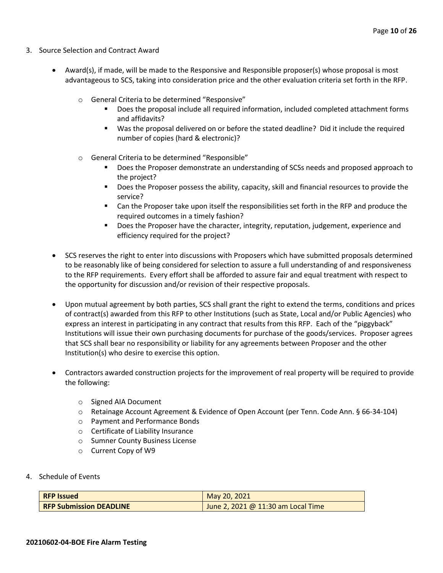- 3. Source Selection and Contract Award
	- Award(s), if made, will be made to the Responsive and Responsible proposer(s) whose proposal is most advantageous to SCS, taking into consideration price and the other evaluation criteria set forth in the RFP.
		- o General Criteria to be determined "Responsive"
			- Does the proposal include all required information, included completed attachment forms and affidavits?
			- Was the proposal delivered on or before the stated deadline? Did it include the required number of copies (hard & electronic)?
		- o General Criteria to be determined "Responsible"
			- Does the Proposer demonstrate an understanding of SCSs needs and proposed approach to the project?
			- Does the Proposer possess the ability, capacity, skill and financial resources to provide the service?
			- Can the Proposer take upon itself the responsibilities set forth in the RFP and produce the required outcomes in a timely fashion?
			- **■** Does the Proposer have the character, integrity, reputation, judgement, experience and efficiency required for the project?
	- SCS reserves the right to enter into discussions with Proposers which have submitted proposals determined to be reasonably like of being considered for selection to assure a full understanding of and responsiveness to the RFP requirements. Every effort shall be afforded to assure fair and equal treatment with respect to the opportunity for discussion and/or revision of their respective proposals.
	- Upon mutual agreement by both parties, SCS shall grant the right to extend the terms, conditions and prices of contract(s) awarded from this RFP to other Institutions (such as State, Local and/or Public Agencies) who express an interest in participating in any contract that results from this RFP. Each of the "piggyback" Institutions will issue their own purchasing documents for purchase of the goods/services. Proposer agrees that SCS shall bear no responsibility or liability for any agreements between Proposer and the other Institution(s) who desire to exercise this option.
	- Contractors awarded construction projects for the improvement of real property will be required to provide the following:
		- o Signed AIA Document
		- o Retainage Account Agreement & Evidence of Open Account (per Tenn. Code Ann. § 66-34-104)
		- o Payment and Performance Bonds
		- o Certificate of Liability Insurance
		- o Sumner County Business License
		- o Current Copy of W9
- 4. Schedule of Events

| <b>RFP Issued</b>              | May 20, 2021                       |
|--------------------------------|------------------------------------|
| <b>RFP Submission DEADLINE</b> | June 2, 2021 @ 11:30 am Local Time |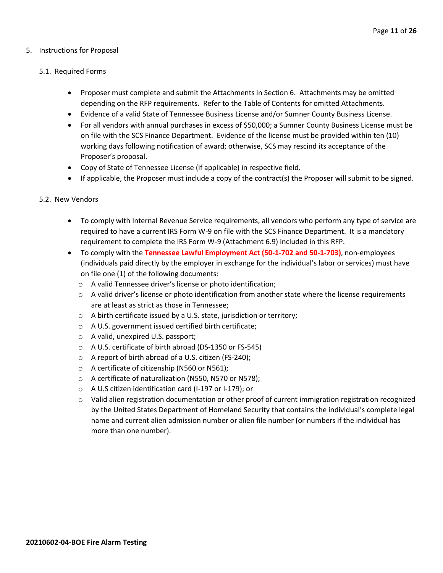#### 5. Instructions for Proposal

#### 5.1. Required Forms

- Proposer must complete and submit the Attachments in Section 6. Attachments may be omitted depending on the RFP requirements. Refer to the Table of Contents for omitted Attachments.
- Evidence of a valid State of Tennessee Business License and/or Sumner County Business License.
- For all vendors with annual purchases in excess of \$50,000; a Sumner County Business License must be on file with the SCS Finance Department. Evidence of the license must be provided within ten (10) working days following notification of award; otherwise, SCS may rescind its acceptance of the Proposer's proposal.
- Copy of State of Tennessee License (if applicable) in respective field.
- If applicable, the Proposer must include a copy of the contract(s) the Proposer will submit to be signed.

#### 5.2. New Vendors

- To comply with Internal Revenue Service requirements, all vendors who perform any type of service are required to have a current IRS Form W-9 on file with the SCS Finance Department. It is a mandatory requirement to complete the IRS Form W-9 (Attachment 6.9) included in this RFP.
- To comply with the **Tennessee Lawful Employment Act (50-1-702 and 50-1-703)**, non-employees (individuals paid directly by the employer in exchange for the individual's labor or services) must have on file one (1) of the following documents:
	- o A valid Tennessee driver's license or photo identification;
	- $\circ$  A valid driver's license or photo identification from another state where the license requirements are at least as strict as those in Tennessee;
	- o A birth certificate issued by a U.S. state, jurisdiction or territory;
	- o A U.S. government issued certified birth certificate;
	- o A valid, unexpired U.S. passport;
	- o A U.S. certificate of birth abroad (DS-1350 or FS-545)
	- o A report of birth abroad of a U.S. citizen (FS-240);
	- o A certificate of citizenship (N560 or N561);
	- o A certificate of naturalization (N550, N570 or N578);
	- o A U.S citizen identification card (I-197 or I-179); or
	- $\circ$  Valid alien registration documentation or other proof of current immigration registration recognized by the United States Department of Homeland Security that contains the individual's complete legal name and current alien admission number or alien file number (or numbers if the individual has more than one number).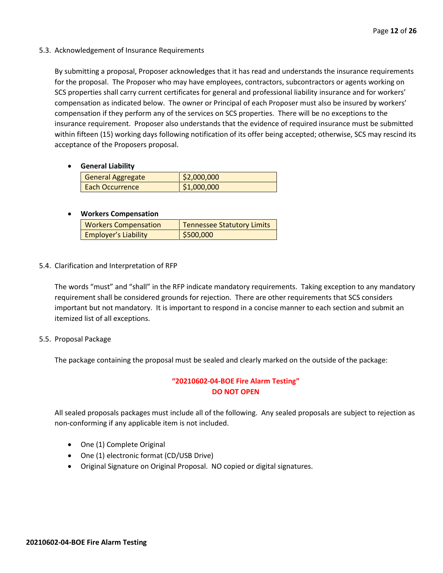5.3. Acknowledgement of Insurance Requirements

By submitting a proposal, Proposer acknowledges that it has read and understands the insurance requirements for the proposal. The Proposer who may have employees, contractors, subcontractors or agents working on SCS properties shall carry current certificates for general and professional liability insurance and for workers' compensation as indicated below. The owner or Principal of each Proposer must also be insured by workers' compensation if they perform any of the services on SCS properties. There will be no exceptions to the insurance requirement. Proposer also understands that the evidence of required insurance must be submitted within fifteen (15) working days following notification of its offer being accepted; otherwise, SCS may rescind its acceptance of the Proposers proposal.

• **General Liability**

| <b>General Aggregate</b> | \$2,000,000 |
|--------------------------|-------------|
| <b>Each Occurrence</b>   | \$1,000,000 |

#### • **Workers Compensation**

| <b>Workers Compensation</b> | <b>Tennessee Statutory Limits</b> |
|-----------------------------|-----------------------------------|
| <b>Employer's Liability</b> | \$500,000                         |

5.4. Clarification and Interpretation of RFP

The words "must" and "shall" in the RFP indicate mandatory requirements. Taking exception to any mandatory requirement shall be considered grounds for rejection. There are other requirements that SCS considers important but not mandatory. It is important to respond in a concise manner to each section and submit an itemized list of all exceptions.

5.5. Proposal Package

The package containing the proposal must be sealed and clearly marked on the outside of the package:

#### **"20210602-04-BOE Fire Alarm Testing" DO NOT OPEN**

All sealed proposals packages must include all of the following. Any sealed proposals are subject to rejection as non-conforming if any applicable item is not included.

- One (1) Complete Original
- One (1) electronic format (CD/USB Drive)
- Original Signature on Original Proposal. NO copied or digital signatures.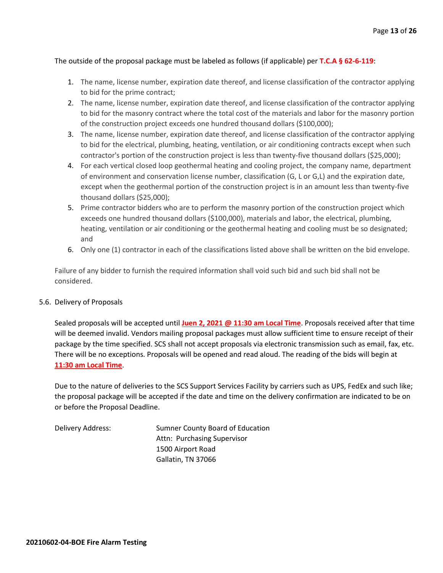#### The outside of the proposal package must be labeled as follows (if applicable) per **T.C.A § 62-6-119**:

- 1. The name, license number, expiration date thereof, and license classification of the contractor applying to bid for the prime contract;
- 2. The name, license number, expiration date thereof, and license classification of the contractor applying to bid for the masonry contract where the total cost of the materials and labor for the masonry portion of the construction project exceeds one hundred thousand dollars (\$100,000);
- 3. The name, license number, expiration date thereof, and license classification of the contractor applying to bid for the electrical, plumbing, heating, ventilation, or air conditioning contracts except when such contractor's portion of the construction project is less than twenty-five thousand dollars (\$25,000);
- 4. For each vertical closed loop geothermal heating and cooling project, the company name, department of environment and conservation license number, classification (G, L or G,L) and the expiration date, except when the geothermal portion of the construction project is in an amount less than twenty-five thousand dollars (\$25,000);
- 5. Prime contractor bidders who are to perform the masonry portion of the construction project which exceeds one hundred thousand dollars (\$100,000), materials and labor, the electrical, plumbing, heating, ventilation or air conditioning or the geothermal heating and cooling must be so designated; and
- 6. Only one (1) contractor in each of the classifications listed above shall be written on the bid envelope.

Failure of any bidder to furnish the required information shall void such bid and such bid shall not be considered.

#### 5.6. Delivery of Proposals

Sealed proposals will be accepted until **Juen 2, 2021 @ 11:30 am Local Time**. Proposals received after that time will be deemed invalid. Vendors mailing proposal packages must allow sufficient time to ensure receipt of their package by the time specified. SCS shall not accept proposals via electronic transmission such as email, fax, etc. There will be no exceptions. Proposals will be opened and read aloud. The reading of the bids will begin at **11:30 am Local Time**.

Due to the nature of deliveries to the SCS Support Services Facility by carriers such as UPS, FedEx and such like; the proposal package will be accepted if the date and time on the delivery confirmation are indicated to be on or before the Proposal Deadline.

Delivery Address: Sumner County Board of Education Attn: Purchasing Supervisor 1500 Airport Road Gallatin, TN 37066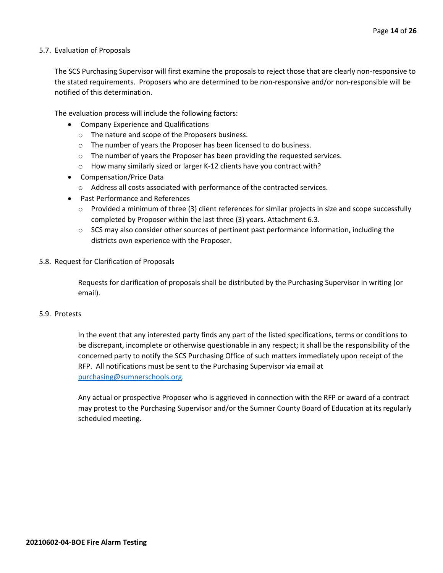#### 5.7. Evaluation of Proposals

The SCS Purchasing Supervisor will first examine the proposals to reject those that are clearly non-responsive to the stated requirements. Proposers who are determined to be non-responsive and/or non-responsible will be notified of this determination.

The evaluation process will include the following factors:

- Company Experience and Qualifications
	- o The nature and scope of the Proposers business.
	- $\circ$  The number of years the Proposer has been licensed to do business.
	- $\circ$  The number of years the Proposer has been providing the requested services.
	- o How many similarly sized or larger K-12 clients have you contract with?
- Compensation/Price Data
	- o Address all costs associated with performance of the contracted services.
- Past Performance and References
	- $\circ$  Provided a minimum of three (3) client references for similar projects in size and scope successfully completed by Proposer within the last three (3) years. Attachment 6.3.
	- $\circ$  SCS may also consider other sources of pertinent past performance information, including the districts own experience with the Proposer.
- 5.8. Request for Clarification of Proposals

Requests for clarification of proposals shall be distributed by the Purchasing Supervisor in writing (or email).

#### 5.9. Protests

In the event that any interested party finds any part of the listed specifications, terms or conditions to be discrepant, incomplete or otherwise questionable in any respect; it shall be the responsibility of the concerned party to notify the SCS Purchasing Office of such matters immediately upon receipt of the RFP. All notifications must be sent to the Purchasing Supervisor via email at [purchasing@sumnerschools.org.](mailto:purchasing@sumnerschools.org)

Any actual or prospective Proposer who is aggrieved in connection with the RFP or award of a contract may protest to the Purchasing Supervisor and/or the Sumner County Board of Education at its regularly scheduled meeting.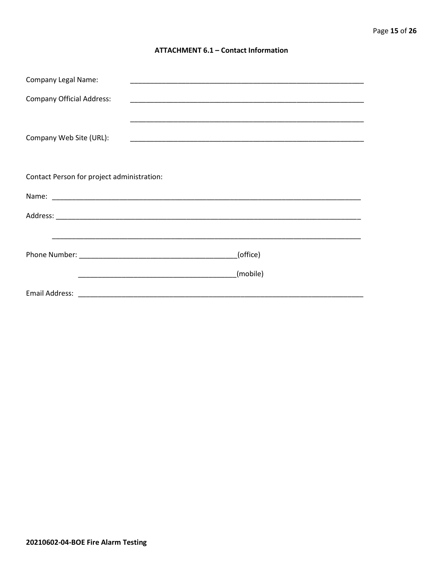#### **ATTACHMENT 6.1 - Contact Information**

| <b>Company Legal Name:</b>                 |          |
|--------------------------------------------|----------|
| <b>Company Official Address:</b>           |          |
|                                            |          |
| Company Web Site (URL):                    |          |
|                                            |          |
| Contact Person for project administration: |          |
|                                            |          |
|                                            |          |
|                                            |          |
|                                            | (office) |
|                                            | (mobile) |
|                                            |          |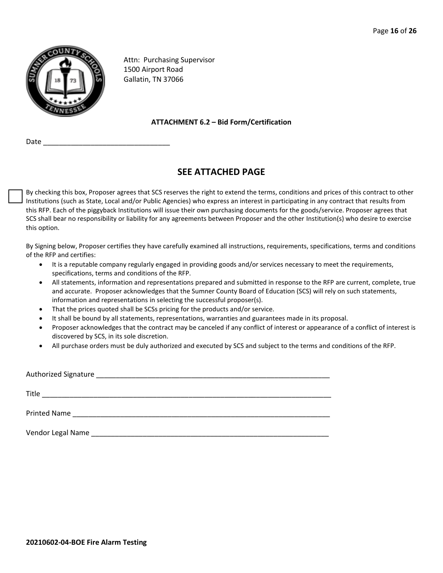

Attn: Purchasing Supervisor 1500 Airport Road Gallatin, TN 37066

#### **ATTACHMENT 6.2 – Bid Form/Certification**

Date \_\_\_\_\_\_\_\_\_\_\_\_\_\_\_\_\_\_\_\_\_\_\_\_\_\_\_\_\_\_\_\_

## **SEE ATTACHED PAGE**

By checking this box, Proposer agrees that SCS reserves the right to extend the terms, conditions and prices of this contract to other Institutions (such as State, Local and/or Public Agencies) who express an interest in participating in any contract that results from this RFP. Each of the piggyback Institutions will issue their own purchasing documents for the goods/service. Proposer agrees that SCS shall bear no responsibility or liability for any agreements between Proposer and the other Institution(s) who desire to exercise this option.

By Signing below, Proposer certifies they have carefully examined all instructions, requirements, specifications, terms and conditions of the RFP and certifies:

- It is a reputable company regularly engaged in providing goods and/or services necessary to meet the requirements, specifications, terms and conditions of the RFP.
- All statements, information and representations prepared and submitted in response to the RFP are current, complete, true and accurate. Proposer acknowledges that the Sumner County Board of Education (SCS) will rely on such statements, information and representations in selecting the successful proposer(s).
- That the prices quoted shall be SCSs pricing for the products and/or service.
- It shall be bound by all statements, representations, warranties and guarantees made in its proposal.
- Proposer acknowledges that the contract may be canceled if any conflict of interest or appearance of a conflict of interest is discovered by SCS, in its sole discretion.
- All purchase orders must be duly authorized and executed by SCS and subject to the terms and conditions of the RFP.

| <b>Authorized Signature</b> | <u> 1980 - Jan James James Jan James James James James James James James James James James James James James Jam</u>                                                                                                          |  |  |
|-----------------------------|-------------------------------------------------------------------------------------------------------------------------------------------------------------------------------------------------------------------------------|--|--|
| Title                       | the control of the control of the control of the control of the control of the control of the control of the control of the control of the control of the control of the control of the control of the control of the control |  |  |
|                             | Printed Name and the state of the state of the state of the state of the state of the state of the state of the state of the state of the state of the state of the state of the state of the state of the state of the state |  |  |
| Vendor Legal Name           |                                                                                                                                                                                                                               |  |  |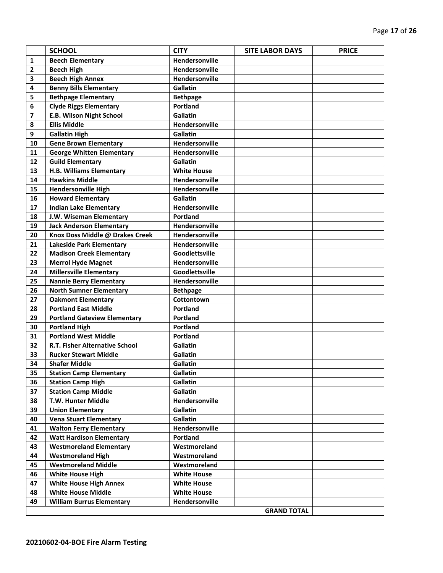|                | <b>SCHOOL</b>                         | <b>CITY</b>        | <b>SITE LABOR DAYS</b> | <b>PRICE</b> |
|----------------|---------------------------------------|--------------------|------------------------|--------------|
| 1              | <b>Beech Elementary</b>               | Hendersonville     |                        |              |
| $\overline{2}$ | <b>Beech High</b>                     | Hendersonville     |                        |              |
| 3              | <b>Beech High Annex</b>               | Hendersonville     |                        |              |
| 4              | <b>Benny Bills Elementary</b>         | <b>Gallatin</b>    |                        |              |
| 5              | <b>Bethpage Elementary</b>            | <b>Bethpage</b>    |                        |              |
| 6              | <b>Clyde Riggs Elementary</b>         | Portland           |                        |              |
| 7              | <b>E.B. Wilson Night School</b>       | Gallatin           |                        |              |
| 8              | <b>Ellis Middle</b>                   | Hendersonville     |                        |              |
| 9              | <b>Gallatin High</b>                  | <b>Gallatin</b>    |                        |              |
| 10             | <b>Gene Brown Elementary</b>          | Hendersonville     |                        |              |
| 11             | <b>George Whitten Elementary</b>      | Hendersonville     |                        |              |
| 12             | <b>Guild Elementary</b>               | Gallatin           |                        |              |
| 13             | H.B. Williams Elementary              | <b>White House</b> |                        |              |
| 14             | <b>Hawkins Middle</b>                 | Hendersonville     |                        |              |
| 15             | <b>Hendersonville High</b>            | Hendersonville     |                        |              |
| 16             | <b>Howard Elementary</b>              | Gallatin           |                        |              |
| 17             | <b>Indian Lake Elementary</b>         | Hendersonville     |                        |              |
| 18             | J.W. Wiseman Elementary               | Portland           |                        |              |
| 19             | <b>Jack Anderson Elementary</b>       | Hendersonville     |                        |              |
| 20             | Knox Doss Middle @ Drakes Creek       | Hendersonville     |                        |              |
| 21             | <b>Lakeside Park Elementary</b>       | Hendersonville     |                        |              |
| 22             | <b>Madison Creek Elementary</b>       | Goodlettsville     |                        |              |
| 23             | <b>Merrol Hyde Magnet</b>             | Hendersonville     |                        |              |
| 24             | <b>Millersville Elementary</b>        | Goodlettsville     |                        |              |
| 25             | <b>Nannie Berry Elementary</b>        | Hendersonville     |                        |              |
| 26             | <b>North Sumner Elementary</b>        | <b>Bethpage</b>    |                        |              |
| 27             | <b>Oakmont Elementary</b>             | Cottontown         |                        |              |
| 28             | <b>Portland East Middle</b>           | <b>Portland</b>    |                        |              |
| 29             | <b>Portland Gateview Elementary</b>   | <b>Portland</b>    |                        |              |
| 30             | <b>Portland High</b>                  | Portland           |                        |              |
| 31             | <b>Portland West Middle</b>           | Portland           |                        |              |
| 32             | <b>R.T. Fisher Alternative School</b> | <b>Gallatin</b>    |                        |              |
| 33             | <b>Rucker Stewart Middle</b>          | Gallatin           |                        |              |
| 34             | <b>Shafer Middle</b>                  | <b>Gallatin</b>    |                        |              |
| 35             | <b>Station Camp Elementary</b>        | Gallatin           |                        |              |
| 36             | <b>Station Camp High</b>              | Gallatin           |                        |              |
| 37             | <b>Station Camp Middle</b>            | Gallatin           |                        |              |
| 38             | T.W. Hunter Middle                    | Hendersonville     |                        |              |
| 39             | <b>Union Elementary</b>               | Gallatin           |                        |              |
| 40             | <b>Vena Stuart Elementary</b>         | Gallatin           |                        |              |
| 41             | <b>Walton Ferry Elementary</b>        | Hendersonville     |                        |              |
| 42             | <b>Watt Hardison Elementary</b>       | Portland           |                        |              |
| 43             | <b>Westmoreland Elementary</b>        | Westmoreland       |                        |              |
| 44             | <b>Westmoreland High</b>              | Westmoreland       |                        |              |
| 45             | <b>Westmoreland Middle</b>            | Westmoreland       |                        |              |
| 46             | <b>White House High</b>               | <b>White House</b> |                        |              |
| 47             | <b>White House High Annex</b>         | <b>White House</b> |                        |              |
| 48             | <b>White House Middle</b>             | <b>White House</b> |                        |              |
| 49             | <b>William Burrus Elementary</b>      | Hendersonville     |                        |              |
|                |                                       |                    | <b>GRAND TOTAL</b>     |              |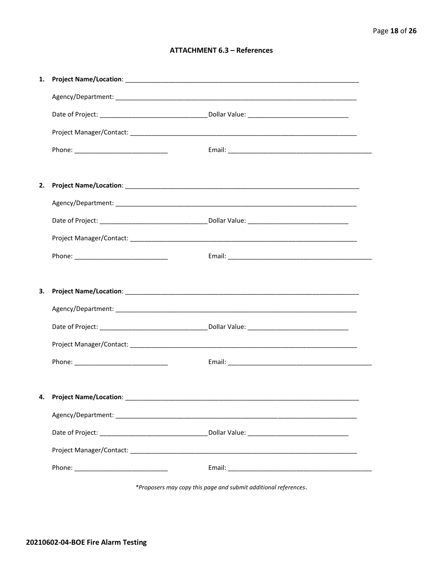#### **ATTACHMENT 6.3 - References**

| 1. |                                     |  |
|----|-------------------------------------|--|
|    |                                     |  |
|    |                                     |  |
|    |                                     |  |
|    |                                     |  |
|    |                                     |  |
| 2. |                                     |  |
|    |                                     |  |
|    |                                     |  |
|    |                                     |  |
|    |                                     |  |
|    |                                     |  |
|    |                                     |  |
| 3. |                                     |  |
|    |                                     |  |
|    |                                     |  |
|    |                                     |  |
|    |                                     |  |
|    |                                     |  |
|    | 4. Project Name/Location: _________ |  |
|    |                                     |  |
|    |                                     |  |
|    |                                     |  |

\*Proposers may copy this page and submit additional references.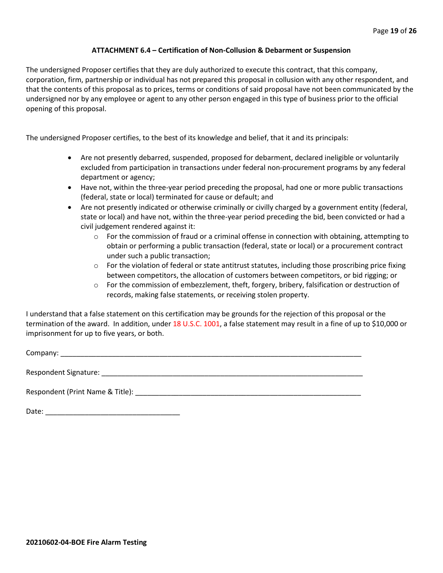#### **ATTACHMENT 6.4 – Certification of Non-Collusion & Debarment or Suspension**

The undersigned Proposer certifies that they are duly authorized to execute this contract, that this company, corporation, firm, partnership or individual has not prepared this proposal in collusion with any other respondent, and that the contents of this proposal as to prices, terms or conditions of said proposal have not been communicated by the undersigned nor by any employee or agent to any other person engaged in this type of business prior to the official opening of this proposal.

The undersigned Proposer certifies, to the best of its knowledge and belief, that it and its principals:

- Are not presently debarred, suspended, proposed for debarment, declared ineligible or voluntarily excluded from participation in transactions under federal non-procurement programs by any federal department or agency;
- Have not, within the three-year period preceding the proposal, had one or more public transactions (federal, state or local) terminated for cause or default; and
- Are not presently indicated or otherwise criminally or civilly charged by a government entity (federal, state or local) and have not, within the three-year period preceding the bid, been convicted or had a civil judgement rendered against it:
	- $\circ$  For the commission of fraud or a criminal offense in connection with obtaining, attempting to obtain or performing a public transaction (federal, state or local) or a procurement contract under such a public transaction;
	- $\circ$  For the violation of federal or state antitrust statutes, including those proscribing price fixing between competitors, the allocation of customers between competitors, or bid rigging; or
	- o For the commission of embezzlement, theft, forgery, bribery, falsification or destruction of records, making false statements, or receiving stolen property.

I understand that a false statement on this certification may be grounds for the rejection of this proposal or the termination of the award. In addition, under 18 U.S.C. 1001, a false statement may result in a fine of up to \$10,000 or imprisonment for up to five years, or both.

Company: \_\_\_\_\_\_\_\_\_\_\_\_\_\_\_\_\_\_\_\_\_\_\_\_\_\_\_\_\_\_\_\_\_\_\_\_\_\_\_\_\_\_\_\_\_\_\_\_\_\_\_\_\_\_\_\_\_\_\_\_\_\_\_\_\_\_\_\_\_\_\_\_\_\_\_\_

Respondent Signature: \_\_\_\_\_\_\_\_\_\_\_\_\_\_\_\_\_\_\_\_\_\_\_\_\_\_\_\_\_\_\_\_\_\_\_\_\_\_\_\_\_\_\_\_\_\_\_\_\_\_\_\_\_\_\_\_\_\_\_\_\_\_\_\_\_\_

Respondent (Print Name & Title): \_\_\_\_\_\_\_\_\_\_\_\_\_\_\_\_\_\_\_\_\_\_\_\_\_\_\_\_\_\_\_\_\_\_\_\_\_\_\_\_\_\_\_\_\_\_\_\_\_\_\_\_\_\_\_\_\_

Date: \_\_\_\_\_\_\_\_\_\_\_\_\_\_\_\_\_\_\_\_\_\_\_\_\_\_\_\_\_\_\_\_\_\_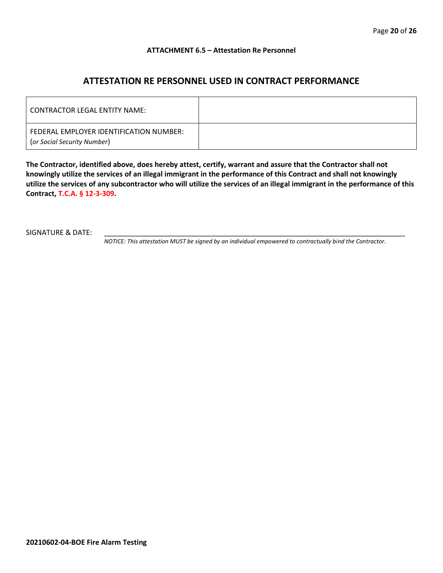#### **ATTACHMENT 6.5 – Attestation Re Personnel**

### **ATTESTATION RE PERSONNEL USED IN CONTRACT PERFORMANCE**

| CONTRACTOR LEGAL ENTITY NAME:                                          |  |
|------------------------------------------------------------------------|--|
| FEDERAL EMPLOYER IDENTIFICATION NUMBER:<br>(or Social Security Number) |  |

**The Contractor, identified above, does hereby attest, certify, warrant and assure that the Contractor shall not knowingly utilize the services of an illegal immigrant in the performance of this Contract and shall not knowingly utilize the services of any subcontractor who will utilize the services of an illegal immigrant in the performance of this Contract, T.C.A. § 12-3-309.**

SIGNATURE & DATE:

*NOTICE: This attestation MUST be signed by an individual empowered to contractually bind the Contractor.*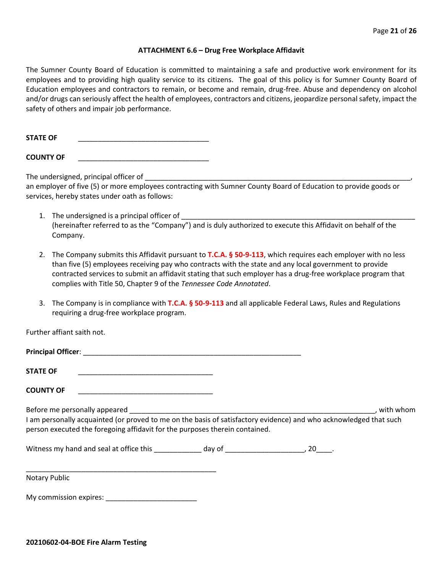#### **ATTACHMENT 6.6 – Drug Free Workplace Affidavit**

The Sumner County Board of Education is committed to maintaining a safe and productive work environment for its employees and to providing high quality service to its citizens. The goal of this policy is for Sumner County Board of Education employees and contractors to remain, or become and remain, drug-free. Abuse and dependency on alcohol and/or drugs can seriously affect the health of employees, contractors and citizens, jeopardize personal safety, impact the safety of others and impair job performance.

STATE OF

**COUNTY OF** \_\_\_\_\_\_\_\_\_\_\_\_\_\_\_\_\_\_\_\_\_\_\_\_\_\_\_\_\_\_\_\_\_

The undersigned, principal officer of

an employer of five (5) or more employees contracting with Sumner County Board of Education to provide goods or services, hereby states under oath as follows:

- 1. The undersigned is a principal officer of (hereinafter referred to as the "Company") and is duly authorized to execute this Affidavit on behalf of the Company.
- 2. The Company submits this Affidavit pursuant to **T.C.A. § 50-9-113**, which requires each employer with no less than five (5) employees receiving pay who contracts with the state and any local government to provide contracted services to submit an affidavit stating that such employer has a drug-free workplace program that complies with Title 50, Chapter 9 of the *Tennessee Code Annotated*.
- 3. The Company is in compliance with **T.C.A. § 50-9-113** and all applicable Federal Laws, Rules and Regulations requiring a drug-free workplace program.

Further affiant saith not.

| <b>Principal Officer:</b> |  |
|---------------------------|--|
|                           |  |
| <b>STATE OF</b>           |  |

**COUNTY OF** \_\_\_\_\_\_\_\_\_\_\_\_\_\_\_\_\_\_\_\_\_\_\_\_\_\_\_\_\_\_\_\_\_\_

Before me personally appeared \_\_\_\_\_\_\_\_\_\_\_\_\_\_\_\_\_\_\_\_\_\_\_\_\_\_\_\_\_\_\_\_\_\_\_\_\_\_\_\_\_\_\_\_\_\_\_\_\_\_\_\_\_\_\_\_\_\_\_\_\_\_, with whom I am personally acquainted (or proved to me on the basis of satisfactory evidence) and who acknowledged that such person executed the foregoing affidavit for the purposes therein contained.

Witness my hand and seal at office this \_\_\_\_\_\_\_\_\_\_\_\_\_ day of \_\_\_\_\_\_\_\_\_\_\_\_\_\_\_\_\_\_\_\_\_, 20\_\_\_\_.

\_\_\_\_\_\_\_\_\_\_\_\_\_\_\_\_\_\_\_\_\_\_\_\_\_\_\_\_\_\_\_\_\_\_\_\_\_\_\_\_\_\_\_\_\_\_\_\_ Notary Public

My commission expires: **Example 20**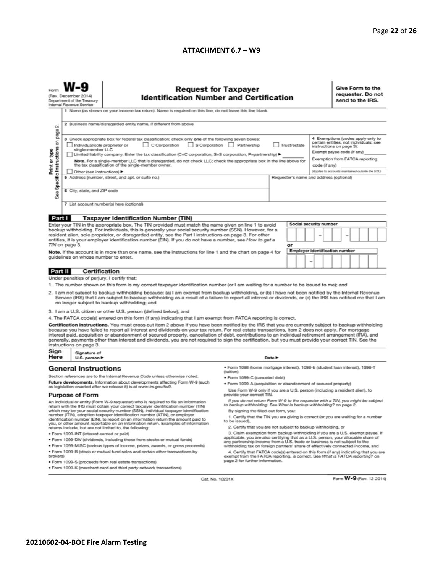#### **ATTACHMENT 6.7 – W9**

|                                                                                                                                                                                                                                                                                                                                                                                                                                                                                                                                                                                                                                                                                                                                                                             | <b>Request for Taxpayer</b><br>(Rev. December 2014)<br><b>Identification Number and Certification</b><br>Department of the Treasury<br>Internal Revenue Service<br>1 Name (as shown on your income tax return). Name is required on this line; do not leave this line blank.                                                                                                       |                                                                                               |                                                                                                                                                               |        |  |  |                                                                                                                                    |                                         | Give Form to the<br>requester. Do not<br>send to the IRS. |  |  |  |  |  |
|-----------------------------------------------------------------------------------------------------------------------------------------------------------------------------------------------------------------------------------------------------------------------------------------------------------------------------------------------------------------------------------------------------------------------------------------------------------------------------------------------------------------------------------------------------------------------------------------------------------------------------------------------------------------------------------------------------------------------------------------------------------------------------|------------------------------------------------------------------------------------------------------------------------------------------------------------------------------------------------------------------------------------------------------------------------------------------------------------------------------------------------------------------------------------|-----------------------------------------------------------------------------------------------|---------------------------------------------------------------------------------------------------------------------------------------------------------------|--------|--|--|------------------------------------------------------------------------------------------------------------------------------------|-----------------------------------------|-----------------------------------------------------------|--|--|--|--|--|
| N                                                                                                                                                                                                                                                                                                                                                                                                                                                                                                                                                                                                                                                                                                                                                                           | 2 Business name/disregarded entity name, if different from above<br>4 Exemptions (codes apply only to<br>3 Check appropriate box for federal tax classification; check only one of the following seven boxes:<br>certain entities, not individuals; see<br>C Corporation<br>S Corporation Partnership<br>Trust/estate<br>Individual/sole proprietor or<br>instructions on page 3): |                                                                                               |                                                                                                                                                               |        |  |  |                                                                                                                                    |                                         |                                                           |  |  |  |  |  |
| Specific Instructions on page<br>Print or type                                                                                                                                                                                                                                                                                                                                                                                                                                                                                                                                                                                                                                                                                                                              | single-member LLC<br>Limited liability company. Enter the tax classification (C=C corporation, S=S corporation, P=partnership) ▶<br>Note. For a single-member LLC that is disregarded, do not check LLC; check the appropriate box in the line above for<br>the tax classification of the single-member owner.<br>Other (see instructions) ▶                                       |                                                                                               |                                                                                                                                                               |        |  |  | Exempt payee code (if any)<br>Exemption from FATCA reporting<br>code (if any)<br>(Applies to accounts maintained outside the U.S.) |                                         |                                                           |  |  |  |  |  |
| See                                                                                                                                                                                                                                                                                                                                                                                                                                                                                                                                                                                                                                                                                                                                                                         | 6 City, state, and ZIP code                                                                                                                                                                                                                                                                                                                                                        | 5 Address (number, street, and apt. or suite no.)<br>7 List account number(s) here (optional) |                                                                                                                                                               |        |  |  |                                                                                                                                    | Requester's name and address (optional) |                                                           |  |  |  |  |  |
|                                                                                                                                                                                                                                                                                                                                                                                                                                                                                                                                                                                                                                                                                                                                                                             |                                                                                                                                                                                                                                                                                                                                                                                    |                                                                                               |                                                                                                                                                               |        |  |  |                                                                                                                                    |                                         |                                                           |  |  |  |  |  |
| Part I                                                                                                                                                                                                                                                                                                                                                                                                                                                                                                                                                                                                                                                                                                                                                                      |                                                                                                                                                                                                                                                                                                                                                                                    | <b>Taxpayer Identification Number (TIN)</b>                                                   |                                                                                                                                                               |        |  |  |                                                                                                                                    |                                         |                                                           |  |  |  |  |  |
| Social security number<br>Enter your TIN in the appropriate box. The TIN provided must match the name given on line 1 to avoid<br>backup withholding. For individuals, this is generally your social security number (SSN). However, for a<br>resident alien, sole proprietor, or disregarded entity, see the Part I instructions on page 3. For other<br>entities, it is your employer identification number (EIN). If you do not have a number, see How to get a                                                                                                                                                                                                                                                                                                          |                                                                                                                                                                                                                                                                                                                                                                                    |                                                                                               |                                                                                                                                                               |        |  |  |                                                                                                                                    |                                         |                                                           |  |  |  |  |  |
| TIN on page 3.<br>or<br>Employer identification number<br>Note. If the account is in more than one name, see the instructions for line 1 and the chart on page 4 for<br>guidelines on whose number to enter.<br>-                                                                                                                                                                                                                                                                                                                                                                                                                                                                                                                                                           |                                                                                                                                                                                                                                                                                                                                                                                    |                                                                                               |                                                                                                                                                               |        |  |  |                                                                                                                                    |                                         |                                                           |  |  |  |  |  |
| Part II                                                                                                                                                                                                                                                                                                                                                                                                                                                                                                                                                                                                                                                                                                                                                                     | <b>Certification</b>                                                                                                                                                                                                                                                                                                                                                               |                                                                                               |                                                                                                                                                               |        |  |  |                                                                                                                                    |                                         |                                                           |  |  |  |  |  |
|                                                                                                                                                                                                                                                                                                                                                                                                                                                                                                                                                                                                                                                                                                                                                                             | Under penalties of perjury, I certify that:                                                                                                                                                                                                                                                                                                                                        |                                                                                               |                                                                                                                                                               |        |  |  |                                                                                                                                    |                                         |                                                           |  |  |  |  |  |
| 1. The number shown on this form is my correct taxpayer identification number (or I am waiting for a number to be issued to me); and<br>2. I am not subject to backup withholding because: (a) I am exempt from backup withholding, or (b) I have not been notified by the Internal Revenue<br>Service (IRS) that I am subject to backup withholding as a result of a failure to report all interest or dividends, or (c) the IRS has notified me that I am<br>no longer subject to backup withholding; and                                                                                                                                                                                                                                                                 |                                                                                                                                                                                                                                                                                                                                                                                    |                                                                                               |                                                                                                                                                               |        |  |  |                                                                                                                                    |                                         |                                                           |  |  |  |  |  |
|                                                                                                                                                                                                                                                                                                                                                                                                                                                                                                                                                                                                                                                                                                                                                                             |                                                                                                                                                                                                                                                                                                                                                                                    | 3. I am a U.S. citizen or other U.S. person (defined below); and                              |                                                                                                                                                               |        |  |  |                                                                                                                                    |                                         |                                                           |  |  |  |  |  |
| 4. The FATCA code(s) entered on this form (if any) indicating that I am exempt from FATCA reporting is correct.<br>Certification instructions. You must cross out item 2 above if you have been notified by the IRS that you are currently subject to backup withholding<br>because you have failed to report all interest and dividends on your tax return. For real estate transactions, item 2 does not apply. For mortgage<br>interest paid, acquisition or abandonment of secured property, cancellation of debt, contributions to an individual retirement arrangement (IRA), and<br>generally, payments other than interest and dividends, you are not required to sign the certification, but you must provide your correct TIN. See the<br>instructions on page 3. |                                                                                                                                                                                                                                                                                                                                                                                    |                                                                                               |                                                                                                                                                               |        |  |  |                                                                                                                                    |                                         |                                                           |  |  |  |  |  |
| Sign<br>Here                                                                                                                                                                                                                                                                                                                                                                                                                                                                                                                                                                                                                                                                                                                                                                | Signature of<br>U.S. person ▶                                                                                                                                                                                                                                                                                                                                                      |                                                                                               |                                                                                                                                                               | Date P |  |  |                                                                                                                                    |                                         |                                                           |  |  |  |  |  |
|                                                                                                                                                                                                                                                                                                                                                                                                                                                                                                                                                                                                                                                                                                                                                                             | <b>General Instructions</b>                                                                                                                                                                                                                                                                                                                                                        |                                                                                               | · Form 1098 (home mortgage interest), 1098-E (student Ioan interest), 1098-T<br>(tuition)                                                                     |        |  |  |                                                                                                                                    |                                         |                                                           |  |  |  |  |  |
|                                                                                                                                                                                                                                                                                                                                                                                                                                                                                                                                                                                                                                                                                                                                                                             |                                                                                                                                                                                                                                                                                                                                                                                    | Section references are to the Internal Revenue Code unless otherwise noted.                   | • Form 1099-C (canceled debt)                                                                                                                                 |        |  |  |                                                                                                                                    |                                         |                                                           |  |  |  |  |  |
| Future developments. Information about developments affecting Form W-9 (such<br>as legislation enacted after we release it) is at www.irs.gov/fw9.                                                                                                                                                                                                                                                                                                                                                                                                                                                                                                                                                                                                                          |                                                                                                                                                                                                                                                                                                                                                                                    |                                                                                               | . Form 1099-A (acquisition or abandonment of secured property)<br>Use Form W-9 only if you are a U.S. person (including a resident alien), to                 |        |  |  |                                                                                                                                    |                                         |                                                           |  |  |  |  |  |
|                                                                                                                                                                                                                                                                                                                                                                                                                                                                                                                                                                                                                                                                                                                                                                             | <b>Purpose of Form</b>                                                                                                                                                                                                                                                                                                                                                             | provide your correct TIN.                                                                     |                                                                                                                                                               |        |  |  |                                                                                                                                    |                                         |                                                           |  |  |  |  |  |
| If you do not return Form W-9 to the requester with a TIN, you might be subject<br>An individual or entity (Form W-9 requester) who is required to file an information<br>to backup withholding. See What is backup withholding? on page 2.<br>return with the IRS must obtain your correct taxpayer identification number (TIN)<br>which may be your social security number (SSN), individual taxpayer identification<br>By signing the filled-out form, you:                                                                                                                                                                                                                                                                                                              |                                                                                                                                                                                                                                                                                                                                                                                    |                                                                                               |                                                                                                                                                               |        |  |  |                                                                                                                                    |                                         |                                                           |  |  |  |  |  |
| number (ITIN), adoption taxpayer identification number (ATIN), or employer<br>1. Certify that the TIN you are giving is correct (or you are waiting for a number<br>identification number (EIN), to report on an information return the amount paid to<br>to be issued).<br>you, or other amount reportable on an information return. Examples of information                                                                                                                                                                                                                                                                                                                                                                                                               |                                                                                                                                                                                                                                                                                                                                                                                    |                                                                                               |                                                                                                                                                               |        |  |  |                                                                                                                                    |                                         |                                                           |  |  |  |  |  |
| 2. Certify that you are not subject to backup withholding, or<br>returns include, but are not limited to, the following:                                                                                                                                                                                                                                                                                                                                                                                                                                                                                                                                                                                                                                                    |                                                                                                                                                                                                                                                                                                                                                                                    |                                                                                               |                                                                                                                                                               |        |  |  |                                                                                                                                    |                                         |                                                           |  |  |  |  |  |
| 3. Claim exemption from backup withholding if you are a U.S. exempt payee. If<br>· Form 1099-INT (interest earned or paid)<br>applicable, you are also certifying that as a U.S. person, your allocable share of<br>. Form 1099-DIV (dividends, including those from stocks or mutual funds)                                                                                                                                                                                                                                                                                                                                                                                                                                                                                |                                                                                                                                                                                                                                                                                                                                                                                    |                                                                                               |                                                                                                                                                               |        |  |  |                                                                                                                                    |                                         |                                                           |  |  |  |  |  |
|                                                                                                                                                                                                                                                                                                                                                                                                                                                                                                                                                                                                                                                                                                                                                                             | . Form 1099-MISC (various types of income, prizes, awards, or gross proceeds)                                                                                                                                                                                                                                                                                                      |                                                                                               | any partnership income from a U.S. trade or business is not subject to the<br>withholding tax on foreign partners' share of effectively connected income, and |        |  |  |                                                                                                                                    |                                         |                                                           |  |  |  |  |  |
| . Form 1099-B (stock or mutual fund sales and certain other transactions by<br>4. Certify that FATCA code(s) entered on this form (if any) indicating that you are<br>brokers)<br>exempt from the FATCA reporting, is correct. See What is FATCA reporting? on<br>page 2 for further information.<br>· Form 1099-S (proceeds from real estate transactions)                                                                                                                                                                                                                                                                                                                                                                                                                 |                                                                                                                                                                                                                                                                                                                                                                                    |                                                                                               |                                                                                                                                                               |        |  |  |                                                                                                                                    |                                         |                                                           |  |  |  |  |  |
| . Form 1099-K (merchant card and third party network transactions)                                                                                                                                                                                                                                                                                                                                                                                                                                                                                                                                                                                                                                                                                                          |                                                                                                                                                                                                                                                                                                                                                                                    |                                                                                               |                                                                                                                                                               |        |  |  |                                                                                                                                    |                                         |                                                           |  |  |  |  |  |

Cat. No. 10231X

Form **W-9** (Rev. 12-2014)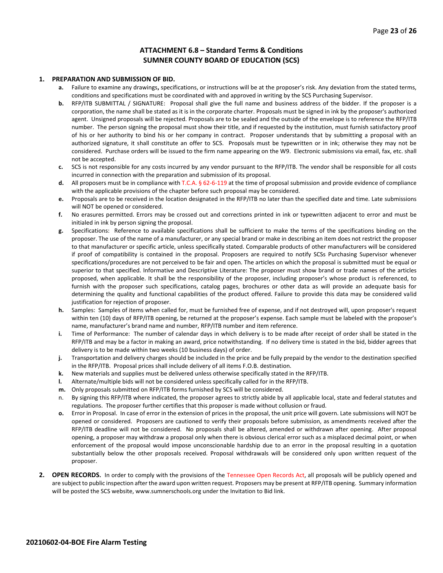#### **ATTACHMENT 6.8 – Standard Terms & Conditions SUMNER COUNTY BOARD OF EDUCATION (SCS)**

#### **1. PREPARATION AND SUBMISSION OF BID.**

- **a.** Failure to examine any drawings**,** specifications, or instructions will be at the proposer's risk. Any deviation from the stated terms, conditions and specifications must be coordinated with and approved in writing by the SCS Purchasing Supervisor.
- **b.** RFP/ITB SUBMITTAL / SIGNATURE: Proposal shall give the full name and business address of the bidder. If the proposer is a corporation, the name shall be stated as it is in the corporate charter. Proposals must be signed in ink by the proposer's authorized agent. Unsigned proposals will be rejected. Proposals are to be sealed and the outside of the envelope is to reference the RFP/ITB number. The person signing the proposal must show their title, and if requested by the institution, must furnish satisfactory proof of his or her authority to bind his or her company in contract. Proposer understands that by submitting a proposal with an authorized signature, it shall constitute an offer to SCS. Proposals must be typewritten or in ink; otherwise they may not be considered. Purchase orders will be issued to the firm name appearing on the W9. Electronic submissions via email, fax, etc. shall not be accepted.
- **c.** SCS is not responsible for any costs incurred by any vendor pursuant to the RFP/ITB. The vendor shall be responsible for all costs incurred in connection with the preparation and submission of its proposal.
- **d.** All proposers must be in compliance with T.C.A. § 62-6-119 at the time of proposal submission and provide evidence of compliance with the applicable provisions of the chapter before such proposal may be considered.
- **e.** Proposals are to be received in the location designated in the RFP/ITB no later than the specified date and time. Late submissions will NOT be opened or considered.
- **f.** No erasures permitted. Errors may be crossed out and corrections printed in ink or typewritten adjacent to error and must be initialed in ink by person signing the proposal.
- **g.** Specifications: Reference to available specifications shall be sufficient to make the terms of the specifications binding on the proposer. The use of the name of a manufacturer, or any special brand or make in describing an item does not restrict the proposer to that manufacturer or specific article, unless specifically stated. Comparable products of other manufacturers will be considered if proof of compatibility is contained in the proposal. Proposers are required to notify SCSs Purchasing Supervisor whenever specifications/procedures are not perceived to be fair and open. The articles on which the proposal is submitted must be equal or superior to that specified. Informative and Descriptive Literature: The proposer must show brand or trade names of the articles proposed, when applicable. It shall be the responsibility of the proposer, including proposer's whose product is referenced, to furnish with the proposer such specifications, catalog pages, brochures or other data as will provide an adequate basis for determining the quality and functional capabilities of the product offered. Failure to provide this data may be considered valid justification for rejection of proposer.
- **h.** Samples: Samples of items when called for, must be furnished free of expense, and if not destroyed will, upon proposer's request within ten (10) days of RFP/ITB opening, be returned at the proposer's expense. Each sample must be labeled with the proposer's name, manufacturer's brand name and number, RFP/ITB number and item reference.
- **i.** Time of Performance: The number of calendar days in which delivery is to be made after receipt of order shall be stated in the RFP/ITB and may be a factor in making an award, price notwithstanding. If no delivery time is stated in the bid, bidder agrees that delivery is to be made within two weeks (10 business days) of order.
- **j.** Transportation and delivery charges should be included in the price and be fully prepaid by the vendor to the destination specified in the RFP/ITB. Proposal prices shall include delivery of all items F.O.B. destination.
- **k.** New materials and supplies must be delivered unless otherwise specifically stated in the RFP/ITB.
- **l.** Alternate/multiple bids will not be considered unless specifically called for in the RFP/ITB.
- **m.** Only proposals submitted on RFP/ITB forms furnished by SCS will be considered.
- n. By signing this RFP/ITB where indicated, the proposer agrees to strictly abide by all applicable local, state and federal statutes and regulations. The proposer further certifies that this proposer is made without collusion or fraud.
- **o.** Error in Proposal. In case of error in the extension of prices in the proposal, the unit price will govern. Late submissions will NOT be opened or considered. Proposers are cautioned to verify their proposals before submission, as amendments received after the RFP/ITB deadline will not be considered. No proposals shall be altered, amended or withdrawn after opening. After proposal opening, a proposer may withdraw a proposal only when there is obvious clerical error such as a misplaced decimal point, or when enforcement of the proposal would impose unconscionable hardship due to an error in the proposal resulting in a quotation substantially below the other proposals received. Proposal withdrawals will be considered only upon written request of the proposer.
- **2. OPEN RECORDS.** In order to comply with the provisions of the Tennessee Open Records Act, all proposals will be publicly opened and are subject to public inspection after the award upon written request. Proposers may be present at RFP/ITB opening. Summary information will be posted the SCS website, www.sumnerschools.org under the Invitation to Bid link.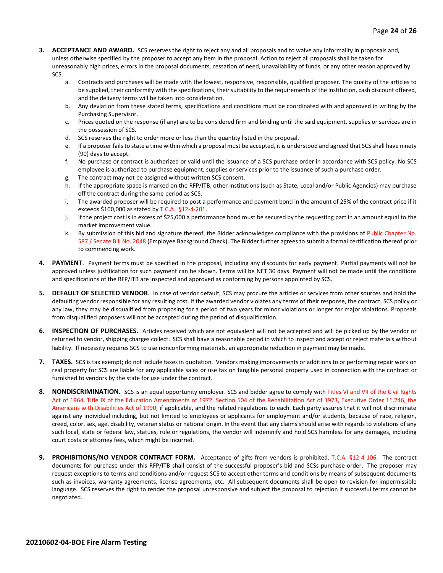- **3. ACCEPTANCE AND AWARD.** SCS reserves the right to reject any and all proposals and to waive any informality in proposals and, unless otherwise specified by the proposer to accept any item in the proposal. Action to reject all proposals shall be taken for unreasonably high prices, errors in the proposal documents, cessation of need, unavailability of funds, or any other reason approved by SCS.
	- a. Contracts and purchases will be made with the lowest, responsive, responsible, qualified proposer. The quality of the articles to be supplied, their conformity with the specifications, their suitability to the requirements of the Institution, cash discount offered, and the delivery terms will be taken into consideration.
	- b. Any deviation from these stated terms, specifications and conditions must be coordinated with and approved in writing by the Purchasing Supervisor.
	- c. Prices quoted on the response (if any) are to be considered firm and binding until the said equipment, supplies or services are in the possession of SCS.
	- d. SCS reserves the right to order more or less than the quantity listed in the proposal.
	- e. If a proposer fails to state a time within which a proposal must be accepted, it is understood and agreed that SCS shall have ninety (90) days to accept.
	- f. No purchase or contract is authorized or valid until the issuance of a SCS purchase order in accordance with SCS policy. No SCS employee is authorized to purchase equipment, supplies or services prior to the issuance of such a purchase order.
	- g. The contract may not be assigned without written SCS consent.
	- h. If the appropriate space is marked on the RFP/ITB, other Institutions (such as State, Local and/or Public Agencies) may purchase off the contract during the same period as SCS.
	- i. The awarded proposer will be required to post a performance and payment bond in the amount of 25% of the contract price if it exceeds \$100,000 as stated by T.C.A. §12-4-201.
	- j. If the project cost is in excess of \$25,000 a performance bond must be secured by the requesting part in an amount equal to the market improvement value.
	- k. By submission of this bid and signature thereof, the Bidder acknowledges compliance with the provisions of Public Chapter No. 587 / Senate Bill No. 2048 (Employee Background Check). The Bidder further agrees to submit a formal certification thereof prior to commencing work.
- **4. PAYMENT**. Payment terms must be specified in the proposal, including any discounts for early payment. Partial payments will not be approved unless justification for such payment can be shown. Terms will be NET 30 days. Payment will not be made until the conditions and specifications of the RFP/ITB are inspected and approved as conforming by persons appointed by SCS.
- **5. DEFAULT OF SELECTED VENDOR.** In case of vendor default, SCS may procure the articles or services from other sources and hold the defaulting vendor responsible for any resulting cost. If the awarded vendor violates any terms of their response, the contract, SCS policy or any law, they may be disqualified from proposing for a period of two years for minor violations or longer for major violations. Proposals from disqualified proposers will not be accepted during the period of disqualification.
- **6. INSPECTION OF PURCHASES.** Articles received which are not equivalent will not be accepted and will be picked up by the vendor or returned to vendor, shipping charges collect. SCS shall have a reasonable period in which to inspect and accept or reject materials without liability. If necessity requires SCS to use nonconforming materials, an appropriate reduction in payment may be made.
- **7. TAXES.** SCS is tax exempt; do not include taxes in quotation. Vendors making improvements or additions to or performing repair work on real property for SCS are liable for any applicable sales or use tax on tangible personal property used in connection with the contract or furnished to vendors by the state for use under the contract.
- **8. NONDISCRIMINATION.** SCS is an equal opportunity employer. SCS and bidder agree to comply with Titles VI and VII of the Civil Rights Act of 1964, Title IX of the Education Amendments of 1972, Section 504 of the Rehabilitation Act of 1973, Executive Order 11,246, the Americans with Disabilities Act of 1990, if applicable, and the related regulations to each. Each party assures that it will not discriminate against any individual including, but not limited to employees or applicants for employment and/or students, because of race, religion, creed, color, sex, age, disability, veteran status or national origin. In the event that any claims should arise with regards to violations of any such local, state or federal law, statues, rule or regulations, the vendor will indemnify and hold SCS harmless for any damages, including court costs or attorney fees, which might be incurred.
- **9. PROHIBITIONS/NO VENDOR CONTRACT FORM.** Acceptance of gifts from vendors is prohibited. T.C.A. §12-4-106. The contract documents for purchase under this RFP/ITB shall consist of the successful proposer's bid and SCSs purchase order. The proposer may request exceptions to terms and conditions and/or request SCS to accept other terms and conditions by means of subsequent documents such as invoices, warranty agreements, license agreements, etc. All subsequent documents shall be open to revision for impermissible language. SCS reserves the right to render the proposal unresponsive and subject the proposal to rejection if successful terms cannot be negotiated.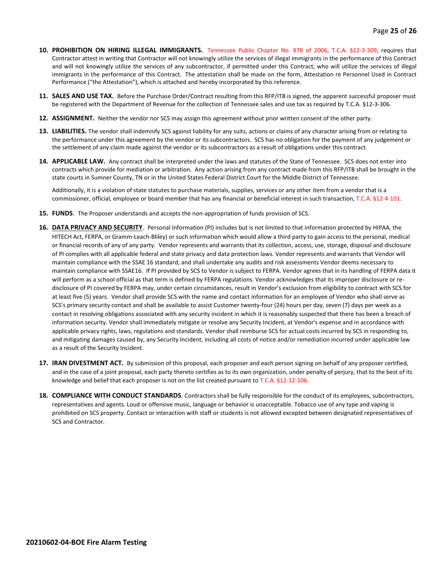- **10. PROHIBITION ON HIRING ILLEGAL IMMIGRANTS.** Tennessee Public Chapter No. 878 of 2006, T.C.A. §12-3-309, requires that Contractor attest in writing that Contractor will not knowingly utilize the services of illegal immigrants in the performance of this Contract and will not knowingly utilize the services of any subcontractor, if permitted under this Contract, who will utilize the services of illegal immigrants in the performance of this Contract. The attestation shall be made on the form, Attestation re Personnel Used in Contract Performance ("the Attestation"), which is attached and hereby incorporated by this reference.
- **11. SALES AND USE TAX.** Before the Purchase Order/Contract resulting from this RFP/ITB is signed, the apparent successful proposer must be registered with the Department of Revenue for the collection of Tennessee sales and use tax as required by T.C.A. §12-3-306.
- **12. ASSIGNMENT.** Neither the vendor nor SCS may assign this agreement without prior written consent of the other party.
- **13. LIABILITIES.** The vendor shall indemnify SCS against liability for any suits, actions or claims of any character arising from or relating to the performance under this agreement by the vendor or its subcontractors. SCS has no obligation for the payment of any judgement or the settlement of any claim made against the vendor or its subcontractors as a result of obligations under this contract.
- **14. APPLICABLE LAW.** Any contract shall be interpreted under the laws and statutes of the State of Tennessee. SCS does not enter into contracts which provide for mediation or arbitration. Any action arising from any contract made from this RFP/ITB shall be brought in the state courts in Sumner County, TN or in the United States Federal District Court for the Middle District of Tennessee.

Additionally, it is a violation of state statutes to purchase materials, supplies, services or any other item from a vendor that is a commissioner, official, employee or board member that has any financial or beneficial interest in such transaction, T.C.A. §12-4-101.

- **15. FUNDS**. The Proposer understands and accepts the non-appropriation of funds provision of SCS.
- **16. DATA PRIVACY AND SECURITY**. Personal Information (PI) includes but is not limited to that information protected by HIPAA, the HITECH Act, FERPA, or Gramm-Leach-Bliley) or such information which would allow a third party to gain access to the personal, medical or financial records of any of any party. Vendor represents and warrants that its collection, access, use, storage, disposal and disclosure of PI complies with all applicable federal and state privacy and data protection laws. Vendor represents and warrants that Vendor will maintain compliance with the SSAE 16 standard, and shall undertake any audits and risk assessments Vendor deems necessary to maintain compliance with SSAE16. If PI provided by SCS to Vendor is subject to FERPA. Vendor agrees that in its handling of FERPA data it will perform as a school official as that term is defined by FERPA regulations. Vendor acknowledges that its improper disclosure or redisclosure of PI covered by FERPA may, under certain circumstances, result in Vendor's exclusion from eligibility to contract with SCS for at least five (5) years. Vendor shall provide SCS with the name and contact information for an employee of Vendor who shall serve as SCS's primary security contact and shall be available to assist Customer twenty-four (24) hours per day, seven (7) days per week as a contact in resolving obligations associated with any security incident in which it is reasonably suspected that there has been a breach of information security. Vendor shall immediately mitigate or resolve any Security Incident, at Vendor's expense and in accordance with applicable privacy rights, laws, regulations and standards. Vendor shall reimburse SCS for actual costs incurred by SCS in responding to, and mitigating damages caused by, any Security Incident, including all costs of notice and/or remediation incurred under applicable law as a result of the Security Incident.
- **17. IRAN DIVESTMENT ACT.** By submission of this proposal, each proposer and each person signing on behalf of any proposer certified, and in the case of a joint proposal, each party thereto certifies as to its own organization, under penalty of perjury, that to the best of its knowledge and belief that each proposer is not on the list created pursuant to T.C.A. §12-12-106.
- **18. COMPLIANCE WITH CONDUCT STANDARDS**. Contractors shall be fully responsible for the conduct of its employees, subcontractors, representatives and agents. Loud or offensive music, language or behavior is unacceptable. Tobacco use of any type and vaping is prohibited on SCS property. Contact or interaction with staff or students is not allowed excepted between designated representatives of SCS and Contractor.